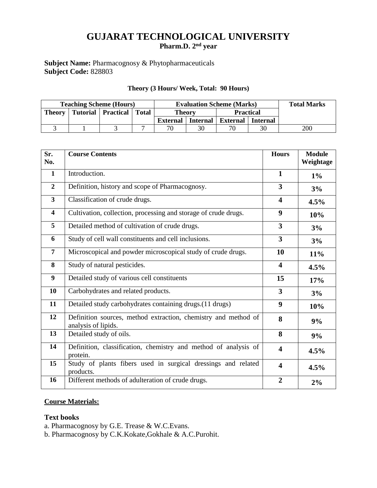# **GUJARAT TECHNOLOGICAL UNIVERSITY Pharm.D. 2 nd year**

## **Subject Name:** Pharmacognosy & Phytopharmaceuticals **Subject Code:** 828803

#### **Theory (3 Hours/ Week, Total: 90 Hours)**

| <b>Teaching Scheme (Hours)</b> |  |                      | <b>Evaluation Scheme (Marks)</b> |               |                 |                     | <b>Total Marks</b> |     |
|--------------------------------|--|----------------------|----------------------------------|---------------|-----------------|---------------------|--------------------|-----|
| <b>Theory</b>                  |  | Tutorial   Practical | <b>Total</b>                     | <b>Theory</b> |                 | <b>Practical</b>    |                    |     |
|                                |  |                      |                                  | External      | <b>Internal</b> | External   Internal |                    |     |
|                                |  |                      |                                  | 70            | 30              | 70                  | 30                 | 200 |

| Sr.<br>No.              | <b>Course Contents</b>                                                                | <b>Hours</b>            | <b>Module</b><br>Weightage |
|-------------------------|---------------------------------------------------------------------------------------|-------------------------|----------------------------|
| $\mathbf{1}$            | Introduction.                                                                         | $\mathbf{1}$            | $1\%$                      |
| $\overline{2}$          | Definition, history and scope of Pharmacognosy.                                       | $\overline{\mathbf{3}}$ | 3%                         |
| $\overline{\mathbf{3}}$ | Classification of crude drugs.                                                        | $\overline{\mathbf{4}}$ | 4.5%                       |
| $\overline{\mathbf{4}}$ | Cultivation, collection, processing and storage of crude drugs.                       | 9                       | 10%                        |
| 5                       | Detailed method of cultivation of crude drugs.                                        | $\mathbf{3}$            | 3%                         |
| 6                       | Study of cell wall constituents and cell inclusions.                                  | $\overline{\mathbf{3}}$ | 3%                         |
| $\overline{7}$          | Microscopical and powder microscopical study of crude drugs.                          | 10                      | 11%                        |
| 8                       | Study of natural pesticides.                                                          | $\overline{\mathbf{4}}$ | 4.5%                       |
| 9                       | Detailed study of various cell constituents                                           | 15                      | 17%                        |
| 10                      | Carbohydrates and related products.                                                   | 3                       | 3%                         |
| 11                      | Detailed study carbohydrates containing drugs. (11 drugs)                             | $\boldsymbol{9}$        | 10%                        |
| 12                      | Definition sources, method extraction, chemistry and method of<br>analysis of lipids. | 8                       | 9%                         |
| 13                      | Detailed study of oils.                                                               | 8                       | 9%                         |
| 14                      | Definition, classification, chemistry and method of analysis of<br>protein.           | $\overline{\mathbf{4}}$ | 4.5%                       |
| 15                      | Study of plants fibers used in surgical dressings and related<br>products.            | $\overline{\mathbf{4}}$ | 4.5%                       |
| 16                      | Different methods of adulteration of crude drugs.                                     | $\overline{2}$          | 2%                         |

# **Course Materials:**

### **Text books**

a. Pharmacognosy by G.E. Trease & W.C.Evans.

b. Pharmacognosy by C.K.Kokate,Gokhale & A.C.Purohit.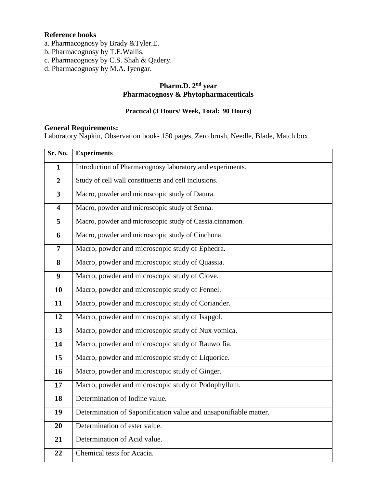## **Reference books**

- a. Pharmacognosy by Brady &Tyler.E.
- b. Pharmacognosy by T.E.Wallis.
- c. Pharmacognosy by C.S. Shah & Qadery.
- d. Pharmacognosy by M.A. Iyengar.

## **Pharm.D. 2nd year Pharmacognosy & Phytopharmaceuticals**

### **Practical (3 Hours/ Week, Total: 90 Hours)**

#### **General Requirements:**

Laboratory Napkin, Observation book- 150 pages, Zero brush, Needle, Blade, Match box.

| Sr. No.                 | <b>Experiments</b>                                               |  |  |  |
|-------------------------|------------------------------------------------------------------|--|--|--|
| $\mathbf{1}$            | Introduction of Pharmacognosy laboratory and experiments.        |  |  |  |
| $\overline{2}$          | Study of cell wall constituents and cell inclusions.             |  |  |  |
| $\overline{\mathbf{3}}$ | Macro, powder and microscopic study of Datura.                   |  |  |  |
| $\overline{\mathbf{4}}$ | Macro, powder and microscopic study of Senna.                    |  |  |  |
| 5                       | Macro, powder and microscopic study of Cassia.cinnamon.          |  |  |  |
| 6                       | Macro, powder and microscopic study of Cinchona.                 |  |  |  |
| $\overline{7}$          | Macro, powder and microscopic study of Ephedra.                  |  |  |  |
| 8                       | Macro, powder and microscopic study of Quassia.                  |  |  |  |
| $\boldsymbol{9}$        | Macro, powder and microscopic study of Clove.                    |  |  |  |
| 10                      | Macro, powder and microscopic study of Fennel.                   |  |  |  |
| 11                      | Macro, powder and microscopic study of Coriander.                |  |  |  |
| 12                      | Macro, powder and microscopic study of Isapgol.                  |  |  |  |
| 13                      | Macro, powder and microscopic study of Nux vomica.               |  |  |  |
| 14                      | Macro, powder and microscopic study of Rauwolfia.                |  |  |  |
| 15                      | Macro, powder and microscopic study of Liquorice.                |  |  |  |
| 16                      | Macro, powder and microscopic study of Ginger.                   |  |  |  |
| 17                      | Macro, powder and microscopic study of Podophyllum.              |  |  |  |
| 18                      | Determination of Iodine value.                                   |  |  |  |
| 19                      | Determination of Saponification value and unsaponifiable matter. |  |  |  |
| 20                      | Determination of ester value.                                    |  |  |  |
| 21                      | Determination of Acid value.                                     |  |  |  |
| 22                      | Chemical tests for Acacia.                                       |  |  |  |